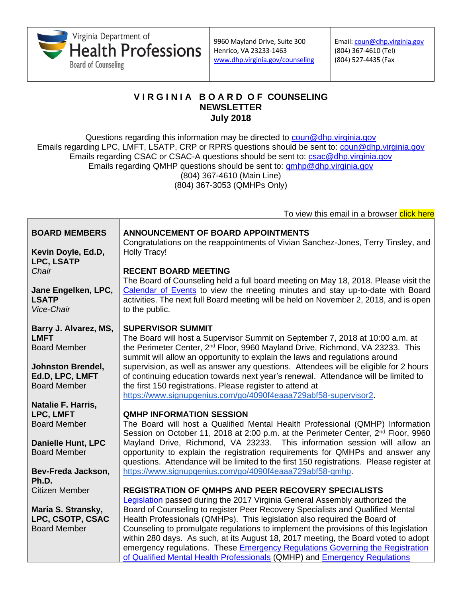

Email: [coun@dhp.virginia.gov](mailto:coun@dhp.virginia.gov) (804) 367-4610 (Tel) (804) 527-4435 (Fax

To view this email in a browser click here

## **V I R G I N I A B O A R D O F COUNSELING NEWSLETTER July 2018**

Questions regarding this information may be directed to [coun@dhp.virginia.gov](mailto:coun@dhp.virginia.gov) Emails regarding LPC, LMFT, LSATP, CRP or RPRS questions should be sent to: [coun@dhp.virginia.gov](mailto:coun@dhp.virginia.gov) Emails regarding CSAC or CSAC-A questions should be sent to: [csac@dhp.virginia.gov](mailto:csac@dhp.virginia.gov) Emails regarding QMHP questions should be sent to:  $qmbp@dhp.virginia.gov$ (804) 367-4610 (Main Line) (804) 367-3053 (QMHPs Only)

| <b>BOARD MEMBERS</b><br>Kevin Doyle, Ed.D, | <b>ANNOUNCEMENT OF BOARD APPOINTMENTS</b><br>Congratulations on the reappointments of Vivian Sanchez-Jones, Terry Tinsley, and<br><b>Holly Tracy!</b>                          |
|--------------------------------------------|--------------------------------------------------------------------------------------------------------------------------------------------------------------------------------|
| <b>LPC, LSATP</b>                          |                                                                                                                                                                                |
| Chair                                      | <b>RECENT BOARD MEETING</b><br>The Board of Counseling held a full board meeting on May 18, 2018. Please visit the                                                             |
| Jane Engelken, LPC,<br><b>LSATP</b>        | Calendar of Events to view the meeting minutes and stay up-to-date with Board<br>activities. The next full Board meeting will be held on November 2, 2018, and is open         |
| Vice-Chair                                 | to the public.                                                                                                                                                                 |
| Barry J. Alvarez, MS,                      | <b>SUPERVISOR SUMMIT</b>                                                                                                                                                       |
| <b>LMFT</b>                                | The Board will host a Supervisor Summit on September 7, 2018 at 10:00 a.m. at                                                                                                  |
| <b>Board Member</b>                        | the Perimeter Center, 2 <sup>nd</sup> Floor, 9960 Mayland Drive, Richmond, VA 23233. This<br>summit will allow an opportunity to explain the laws and regulations around       |
| <b>Johnston Brendel,</b>                   | supervision, as well as answer any questions. Attendees will be eligible for 2 hours                                                                                           |
| Ed.D, LPC, LMFT                            | of continuing education towards next year's renewal. Attendance will be limited to                                                                                             |
| <b>Board Member</b>                        | the first 150 registrations. Please register to attend at                                                                                                                      |
|                                            | https://www.signupgenius.com/go/4090f4eaaa729abf58-supervisor2.                                                                                                                |
| Natalie F. Harris,                         |                                                                                                                                                                                |
| LPC, LMFT                                  | <b>QMHP INFORMATION SESSION</b>                                                                                                                                                |
| <b>Board Member</b>                        | The Board will host a Qualified Mental Health Professional (QMHP) Information<br>Session on October 11, 2018 at 2:00 p.m. at the Perimeter Center, 2 <sup>nd</sup> Floor, 9960 |
| Danielle Hunt, LPC                         | Mayland Drive, Richmond, VA 23233. This information session will allow an                                                                                                      |
| <b>Board Member</b>                        | opportunity to explain the registration requirements for QMHPs and answer any<br>questions. Attendance will be limited to the first 150 registrations. Please register at      |
| Bev-Freda Jackson,                         | https://www.signupgenius.com/go/4090f4eaaa729abf58-qmhp.                                                                                                                       |
| Ph.D.                                      |                                                                                                                                                                                |
| <b>Citizen Member</b>                      | <b>REGISTRATION OF QMHPS AND PEER RECOVERY SPECIALISTS</b>                                                                                                                     |
|                                            | Legislation passed during the 2017 Virginia General Assembly authorized the                                                                                                    |
| Maria S. Stransky,                         | Board of Counseling to register Peer Recovery Specialists and Qualified Mental                                                                                                 |
| LPC, CSOTP, CSAC                           | Health Professionals (QMHPs). This legislation also required the Board of                                                                                                      |
| <b>Board Member</b>                        | Counseling to promulgate regulations to implement the provisions of this legislation                                                                                           |
|                                            | within 280 days. As such, at its August 18, 2017 meeting, the Board voted to adopt                                                                                             |
|                                            | emergency regulations. These Emergency Regulations Governing the Registration                                                                                                  |
|                                            | of Qualified Mental Health Professionals (QMHP) and Emergency Regulations                                                                                                      |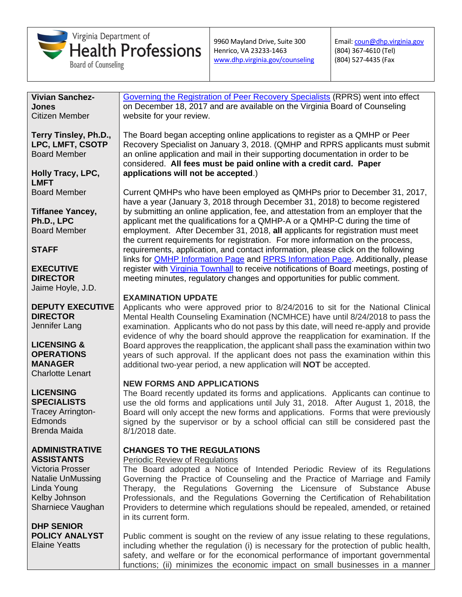

Email: [coun@dhp.virginia.gov](mailto:coun@dhp.virginia.gov) (804) 367-4610 (Tel) (804) 527-4435 (Fax

**Vivian Sanchez-Jones** Citizen Member

**Terry Tinsley, Ph.D., LPC, LMFT, CSOTP** Board Member

**Holly Tracy, LPC, LMFT** Board Member

**Tiffanee Yancey, Ph.D., LPC** Board Member

### **STAFF**

**EXECUTIVE DIRECTOR** Jaime Hoyle, J.D.

**DEPUTY EXECUTIVE DIRECTOR** Jennifer Lang

**LICENSING & OPERATIONS MANAGER** Charlotte Lenart

#### **LICENSING SPECIALISTS**

Tracey Arrington-Edmonds Brenda Maida

#### **ADMINISTRATIVE ASSISTANTS**

Victoria Prosser Natalie UnMussing Linda Young Kelby Johnson Sharniece Vaughan

**DHP SENIOR POLICY ANALYST** Elaine Yeatts

[Governing the Registration of Peer Recovery Specialists](https://www.dhp.virginia.gov/counseling/leg/EmergencyRegs_PeerRecovery_12182017.docx) (RPRS) went into effect on December 18, 2017 and are available on the Virginia Board of Counseling website for your review.

The Board began accepting online applications to register as a QMHP or Peer Recovery Specialist on January 3, 2018. (QMHP and RPRS applicants must submit an online application and mail in their supporting documentation in order to be considered. **All fees must be paid online with a credit card. Paper applications will not be accepted**.)

Current QMHPs who have been employed as QMHPs prior to December 31, 2017, have a year (January 3, 2018 through December 31, 2018) to become registered by submitting an online application, fee, and attestation from an employer that the applicant met the qualifications for a QMHP-A or a QMHP-C during the time of employment. After December 31, 2018, **all** applicants for registration must meet the current requirements for registration. For more information on the process, requirements, application, and contact information, please click on the following links for **QMHP [Information Page](https://www.dhp.virginia.gov/counseling/counseling_QMHP.htm) and RPRS Information Page**. Additionally, please register with Virginia [Townhall](http://townhall.virginia.gov/) to receive notifications of Board meetings, posting of meeting minutes, regulatory changes and opportunities for public comment.

# **EXAMINATION UPDATE**

Applicants who were approved prior to 8/24/2016 to sit for the National Clinical Mental Health Counseling Examination (NCMHCE) have until 8/24/2018 to pass the examination. Applicants who do not pass by this date, will need re-apply and provide evidence of why the board should approve the reapplication for examination. If the Board approves the reapplication, the applicant shall pass the examination within two years of such approval. If the applicant does not pass the examination within this additional two-year period, a new application will **NOT** be accepted.

# **NEW FORMS AND APPLICATIONS**

The Board recently updated its forms and applications. Applicants can continue to use the old forms and applications until July 31, 2018. After August 1, 2018, the Board will only accept the new forms and applications. Forms that were previously signed by the supervisor or by a school official can still be considered past the 8/1/2018 date.

# **CHANGES TO THE REGULATIONS**

### Periodic Review of Regulations

The Board adopted a Notice of Intended Periodic Review of its Regulations Governing the Practice of Counseling and the Practice of Marriage and Family Therapy, the Regulations Governing the Licensure of Substance Abuse Professionals, and the Regulations Governing the Certification of Rehabilitation Providers to determine which regulations should be repealed, amended, or retained in its current form.

Public comment is sought on the review of any issue relating to these regulations, including whether the regulation (i) is necessary for the protection of public health, safety, and welfare or for the economical performance of important governmental functions; (ii) minimizes the economic impact on small businesses in a manner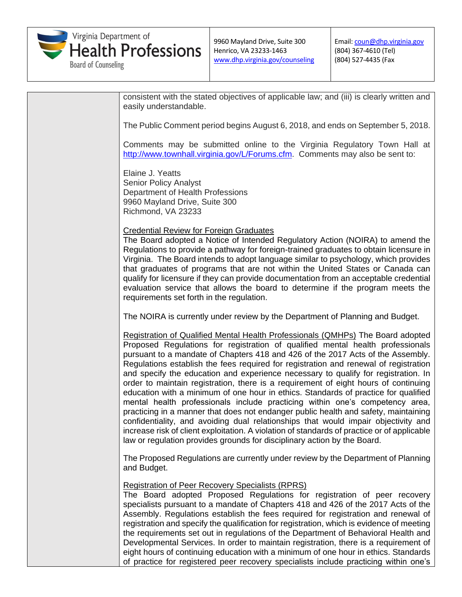

Email: [coun@dhp.virginia.gov](mailto:coun@dhp.virginia.gov) (804) 367-4610 (Tel) (804) 527-4435 (Fax

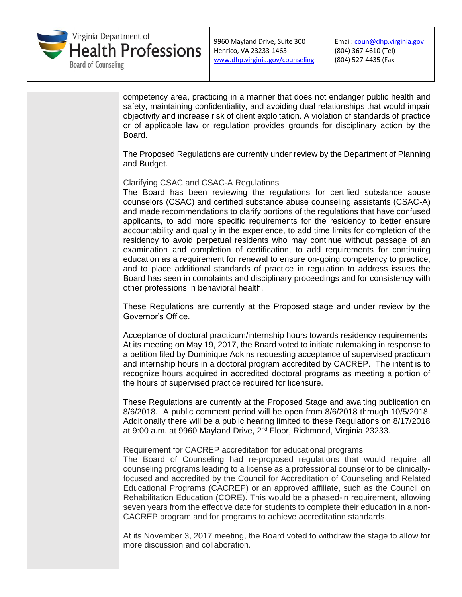

Email: [coun@dhp.virginia.gov](mailto:coun@dhp.virginia.gov) (804) 367-4610 (Tel) (804) 527-4435 (Fax